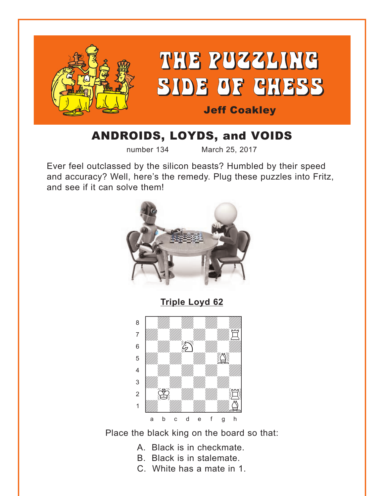<span id="page-0-0"></span>

# ANDROIDS, LOYDS, and VOIDS

number 134 March 25, 2017

Ever feel outclassed by the silicon beasts? Humbled by their speed and accuracy? Well, here's the remedy. Plug these puzzles into Fritz, and see if it can solve them!



**[Triple Loyd 62](#page-4-0)**



Place the black king on the board so that:

- A. Black is in checkmate.
- B. Black is in stalemate.
- C. White has a mate in 1.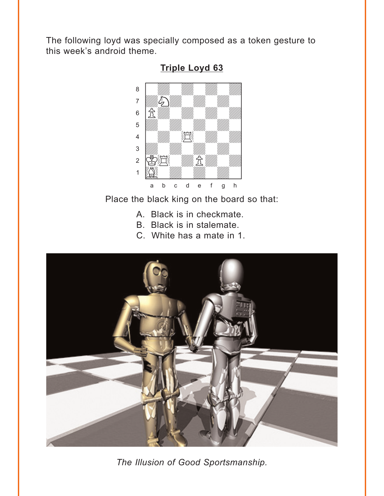<span id="page-1-0"></span>The following loyd was specially composed as a token gesture to this week's android theme.



#### **Triple Loyd 63**

Place the black king on the board so that:

- A. Black is in checkmate.
- B. Black is in stalemate.
- C. White has a mate in 1.



The Illusion of Good Sportsmanship.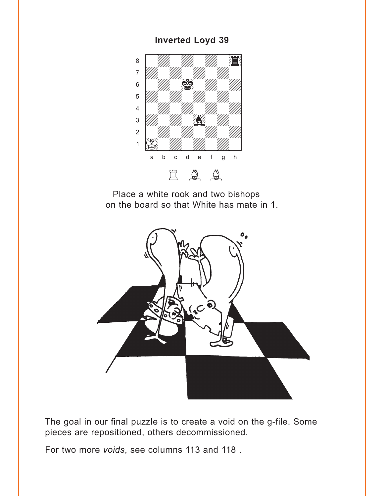#### **Inverted Loyd 39**

<span id="page-2-0"></span>

Place a white rook and two bishops on the board so that White has mate in 1.



The goal in our final puzzle is to create a void on the g-file. Some pieces are repositioned, others decommissioned.

For two more voids, see columns 113 and 118.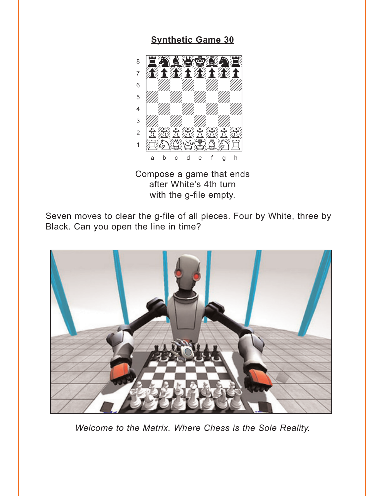#### **Synthetic Game 30**

<span id="page-3-0"></span>

Compose a game that ends after White's 4th turn with the g-file empty.

Seven moves to clear the g-file of all pieces. Four by White, three by Black. Can you open the line in time?



Welcome to the Matrix. Where Chess is the Sole Reality.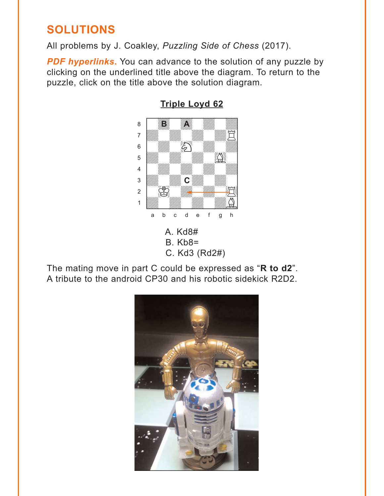## <span id="page-4-0"></span>**SOLUTIONS**

All problems by J. Coakley, *Puzzling Side of Chess* (2017).

**PDF hyperlinks.** You can advance to the solution of any puzzle by clicking on the underlined title above the diagram. To return to the puzzle, click on the title above the solution diagram.



**[Triple Loyd 62](#page-0-0)**

The mating move in part C could be expressed as "**R to d2**". A tribute to the android CP30 and his robotic sidekick R2D2.

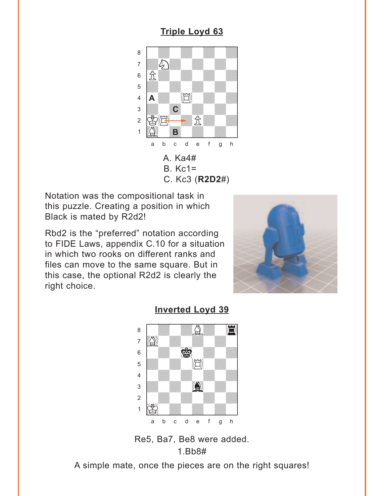### **[Triple Loyd 63](#page-1-0)**

<span id="page-5-0"></span>

Notation was the compositional task in this puzzle. Creating a position in which Black is mated by R2d2!

Rbd2 is the "preferred" notation according to FIDE Laws, appendix C.10 for a situation in which two rooks on different ranks and files can move to the same square. But in this case, the optional R2d2 is clearly the right choice.





#### **[Inverted Loyd 39](#page-2-0)**

Re5, Ba7, Be8 were added. 1.Bb8#

A simple mate, once the pieces are on the right squares!